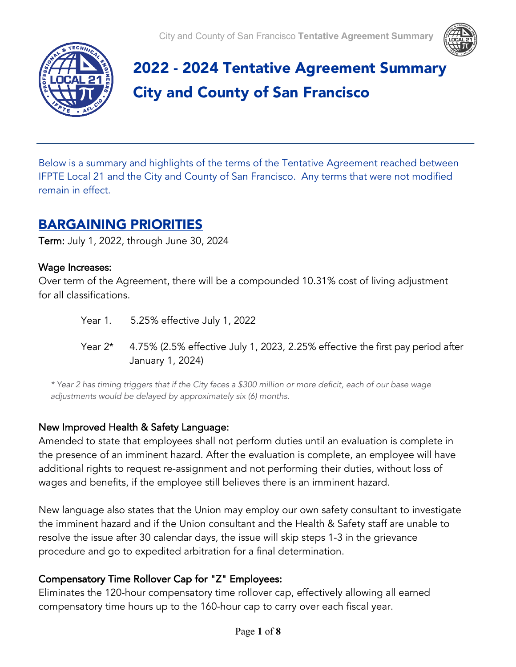



# 2022 - 2024 Tentative Agreement Summary City and County of San Francisco

Below is a summary and highlights of the terms of the Tentative Agreement reached between IFPTE Local 21 and the City and County of San Francisco. Any terms that were not modified remain in effect.

## BARGAINING PRIORITIES

Term: July 1, 2022, through June 30, 2024

## Wage Increases:

Over term of the Agreement, there will be a compounded 10.31% cost of living adjustment for all classifications.

> Year 1. 5.25% effective July 1, 2022 Year  $2*$  4.75% (2.5% effective July 1, 2023, 2.25% effective the first pay period after January 1, 2024)

*\* Year 2 has timing triggers that if the City faces a \$300 million or more deficit, each of our base wage adjustments would be delayed by approximately six (6) months.*

## New Improved Health & Safety Language:

Amended to state that employees shall not perform duties until an evaluation is complete in the presence of an imminent hazard. After the evaluation is complete, an employee will have additional rights to request re-assignment and not performing their duties, without loss of wages and benefits, if the employee still believes there is an imminent hazard.

New language also states that the Union may employ our own safety consultant to investigate the imminent hazard and if the Union consultant and the Health & Safety staff are unable to resolve the issue after 30 calendar days, the issue will skip steps 1-3 in the grievance procedure and go to expedited arbitration for a final determination.

## Compensatory Time Rollover Cap for "Z" Employees:

Eliminates the 120-hour compensatory time rollover cap, effectively allowing all earned compensatory time hours up to the 160-hour cap to carry over each fiscal year.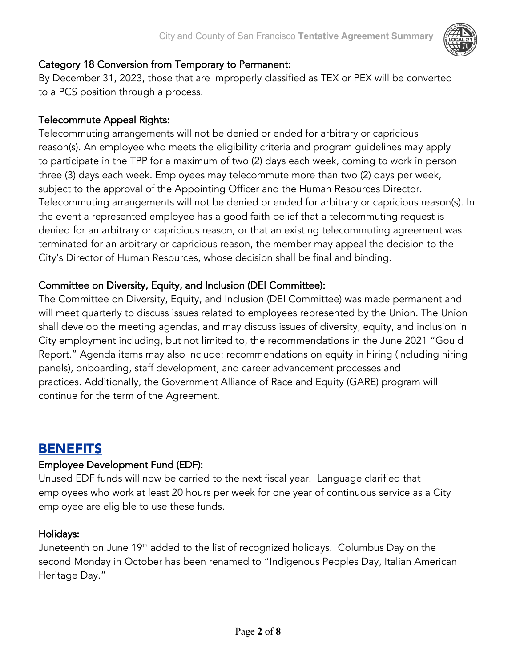

## Category 18 Conversion from Temporary to Permanent:

By December 31, 2023, those that are improperly classified as TEX or PEX will be converted to a PCS position through a process.

## Telecommute Appeal Rights:

Telecommuting arrangements will not be denied or ended for arbitrary or capricious reason(s). An employee who meets the eligibility criteria and program guidelines may apply to participate in the TPP for a maximum of two (2) days each week, coming to work in person three (3) days each week. Employees may telecommute more than two (2) days per week, subject to the approval of the Appointing Officer and the Human Resources Director. Telecommuting arrangements will not be denied or ended for arbitrary or capricious reason(s). In the event a represented employee has a good faith belief that a telecommuting request is denied for an arbitrary or capricious reason, or that an existing telecommuting agreement was terminated for an arbitrary or capricious reason, the member may appeal the decision to the City's Director of Human Resources, whose decision shall be final and binding.

## Committee on Diversity, Equity, and Inclusion (DEI Committee):

The Committee on Diversity, Equity, and Inclusion (DEI Committee) was made permanent and will meet quarterly to discuss issues related to employees represented by the Union. The Union shall develop the meeting agendas, and may discuss issues of diversity, equity, and inclusion in City employment including, but not limited to, the recommendations in the June 2021 "Gould Report." Agenda items may also include: recommendations on equity in hiring (including hiring panels), onboarding, staff development, and career advancement processes and practices. Additionally, the Government Alliance of Race and Equity (GARE) program will continue for the term of the Agreement.

## **BENEFITS**

## Employee Development Fund (EDF):

Unused EDF funds will now be carried to the next fiscal year. Language clarified that employees who work at least 20 hours per week for one year of continuous service as a City employee are eligible to use these funds.

## Holidays:

Juneteenth on June 19th added to the list of recognized holidays. Columbus Day on the second Monday in October has been renamed to "Indigenous Peoples Day, Italian American Heritage Day."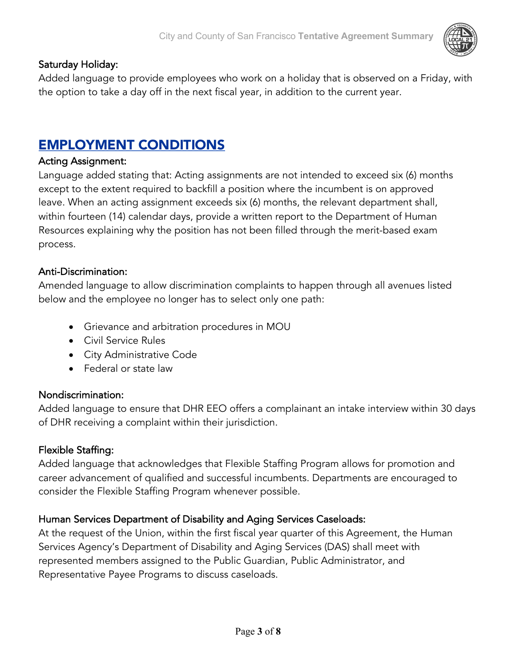## Saturday Holiday:

Added language to provide employees who work on a holiday that is observed on a Friday, with the option to take a day off in the next fiscal year, in addition to the current year.

## EMPLOYMENT CONDITIONS

#### Acting Assignment:

Language added stating that: Acting assignments are not intended to exceed six (6) months except to the extent required to backfill a position where the incumbent is on approved leave. When an acting assignment exceeds six (6) months, the relevant department shall, within fourteen (14) calendar days, provide a written report to the Department of Human Resources explaining why the position has not been filled through the merit-based exam process.

#### Anti-Discrimination:

Amended language to allow discrimination complaints to happen through all avenues listed below and the employee no longer has to select only one path:

- Grievance and arbitration procedures in MOU
- Civil Service Rules
- City Administrative Code
- Federal or state law

## Nondiscrimination:

Added language to ensure that DHR EEO offers a complainant an intake interview within 30 days of DHR receiving a complaint within their jurisdiction.

#### Flexible Staffing:

Added language that acknowledges that Flexible Staffing Program allows for promotion and career advancement of qualified and successful incumbents. Departments are encouraged to consider the Flexible Staffing Program whenever possible.

## Human Services Department of Disability and Aging Services Caseloads:

At the request of the Union, within the first fiscal year quarter of this Agreement, the Human Services Agency's Department of Disability and Aging Services (DAS) shall meet with represented members assigned to the Public Guardian, Public Administrator, and Representative Payee Programs to discuss caseloads.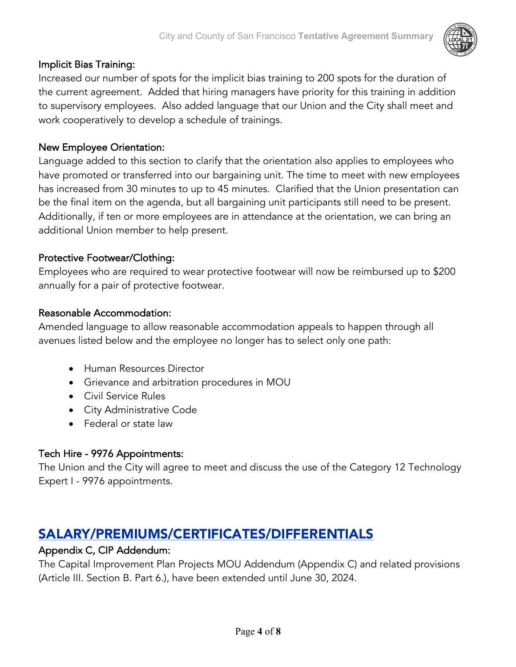## Implicit Bias Training:

Increased our number of spots for the implicit bias training to 200 spots for the duration of the current agreement. Added that hiring managers have priority for this training in addition to supervisory employees. Also added language that our Union and the City shall meet and work cooperatively to develop a schedule of trainings.

## New Employee Orientation:

Language added to this section to clarify that the orientation also applies to employees who have promoted or transferred into our bargaining unit. The time to meet with new employees has increased from 30 minutes to up to 45 minutes. Clarified that the Union presentation can be the final item on the agenda, but all bargaining unit participants still need to be present. Additionally, if ten or more employees are in attendance at the orientation, we can bring an additional Union member to help present.

## Protective Footwear/Clothing:

Employees who are required to wear protective footwear will now be reimbursed up to \$200 annually for a pair of protective footwear.

#### Reasonable Accommodation:

Amended language to allow reasonable accommodation appeals to happen through all avenues listed below and the employee no longer has to select only one path:

- Human Resources Director
- Grievance and arbitration procedures in MOU
- Civil Service Rules
- City Administrative Code
- Federal or state law

## Tech Hire - 9976 Appointments:

The Union and the City will agree to meet and discuss the use of the Category 12 Technology Expert I - 9976 appointments.

## SALARY/PREMIUMS/CERTIFICATES/DIFFERENTIALS

#### Appendix C, CIP Addendum:

The Capital Improvement Plan Projects MOU Addendum (Appendix C) and related provisions (Article III. Section B. Part 6.), have been extended until June 30, 2024.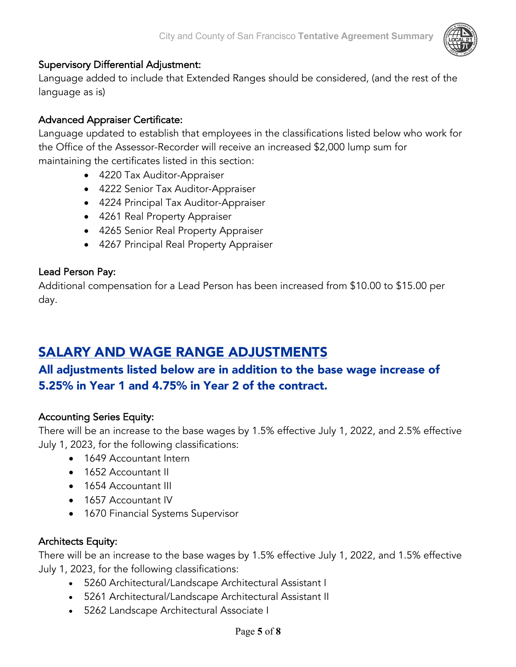## Supervisory Differential Adjustment:

Language added to include that Extended Ranges should be considered, (and the rest of the language as is)

## Advanced Appraiser Certificate:

Language updated to establish that employees in the classifications listed below who work for the Office of the Assessor-Recorder will receive an increased \$2,000 lump sum for maintaining the certificates listed in this section:

- 4220 Tax Auditor-Appraiser
- 4222 Senior Tax Auditor-Appraiser
- 4224 Principal Tax Auditor-Appraiser
- 4261 Real Property Appraiser
- 4265 Senior Real Property Appraiser
- 4267 Principal Real Property Appraiser

## Lead Person Pay:

Additional compensation for a Lead Person has been increased from \$10.00 to \$15.00 per day.

## SALARY AND WAGE RANGE ADJUSTMENTS

## All adjustments listed below are in addition to the base wage increase of 5.25% in Year 1 and 4.75% in Year 2 of the contract.

## Accounting Series Equity:

There will be an increase to the base wages by 1.5% effective July 1, 2022, and 2.5% effective July 1, 2023, for the following classifications:

- 1649 Accountant Intern
- 1652 Accountant II
- 1654 Accountant III
- 1657 Accountant IV
- 1670 Financial Systems Supervisor

## Architects Equity:

There will be an increase to the base wages by 1.5% effective July 1, 2022, and 1.5% effective July 1, 2023, for the following classifications:

- 5260 Architectural/Landscape Architectural Assistant I
- 5261 Architectural/Landscape Architectural Assistant II
- 5262 Landscape Architectural Associate I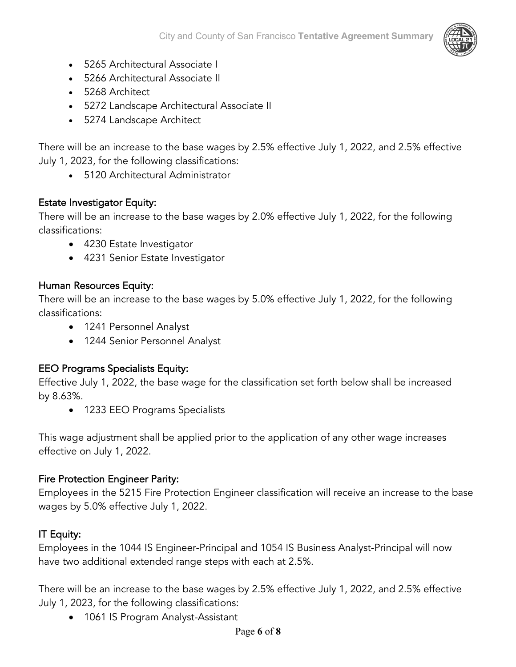

- 5265 Architectural Associate I
- 5266 Architectural Associate II
- 5268 Architect
- 5272 Landscape Architectural Associate II
- 5274 Landscape Architect

There will be an increase to the base wages by 2.5% effective July 1, 2022, and 2.5% effective July 1, 2023, for the following classifications:

• 5120 Architectural Administrator

## Estate Investigator Equity:

There will be an increase to the base wages by 2.0% effective July 1, 2022, for the following classifications:

- 4230 Estate Investigator
- 4231 Senior Estate Investigator

## Human Resources Equity:

There will be an increase to the base wages by 5.0% effective July 1, 2022, for the following classifications:

- 1241 Personnel Analyst
- 1244 Senior Personnel Analyst

## EEO Programs Specialists Equity:

Effective July 1, 2022, the base wage for the classification set forth below shall be increased by 8.63%.

• 1233 EEO Programs Specialists

This wage adjustment shall be applied prior to the application of any other wage increases effective on July 1, 2022.

## Fire Protection Engineer Parity:

Employees in the 5215 Fire Protection Engineer classification will receive an increase to the base wages by 5.0% effective July 1, 2022.

## IT Equity:

Employees in the 1044 IS Engineer-Principal and 1054 IS Business Analyst-Principal will now have two additional extended range steps with each at 2.5%.

There will be an increase to the base wages by 2.5% effective July 1, 2022, and 2.5% effective July 1, 2023, for the following classifications:

• 1061 IS Program Analyst-Assistant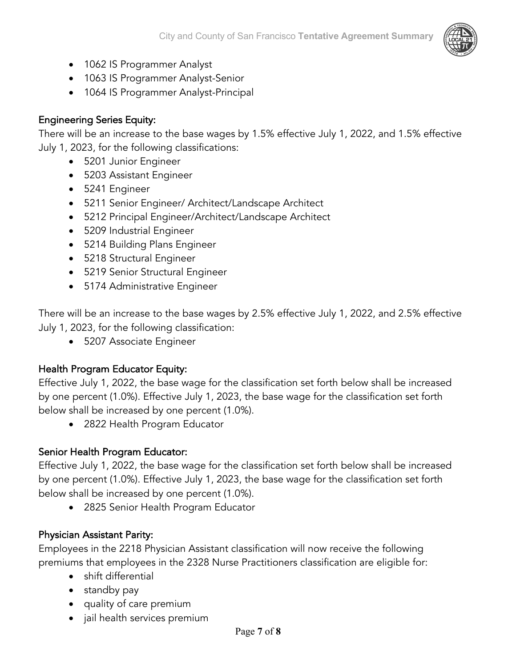

- 1062 IS Programmer Analyst
- 1063 IS Programmer Analyst-Senior
- 1064 IS Programmer Analyst-Principal

## Engineering Series Equity:

There will be an increase to the base wages by 1.5% effective July 1, 2022, and 1.5% effective July 1, 2023, for the following classifications:

- 5201 Junior Engineer
- 5203 Assistant Engineer
- 5241 Engineer
- 5211 Senior Engineer/ Architect/Landscape Architect
- 5212 Principal Engineer/Architect/Landscape Architect
- 5209 Industrial Engineer
- 5214 Building Plans Engineer
- 5218 Structural Engineer
- 5219 Senior Structural Engineer
- 5174 Administrative Engineer

There will be an increase to the base wages by 2.5% effective July 1, 2022, and 2.5% effective July 1, 2023, for the following classification:

• 5207 Associate Engineer

## Health Program Educator Equity:

Effective July 1, 2022, the base wage for the classification set forth below shall be increased by one percent (1.0%). Effective July 1, 2023, the base wage for the classification set forth below shall be increased by one percent (1.0%).

• 2822 Health Program Educator

## Senior Health Program Educator:

Effective July 1, 2022, the base wage for the classification set forth below shall be increased by one percent (1.0%). Effective July 1, 2023, the base wage for the classification set forth below shall be increased by one percent (1.0%).

• 2825 Senior Health Program Educator

## Physician Assistant Parity:

Employees in the 2218 Physician Assistant classification will now receive the following premiums that employees in the 2328 Nurse Practitioners classification are eligible for:

- shift differential
- standby pay
- quality of care premium
- jail health services premium